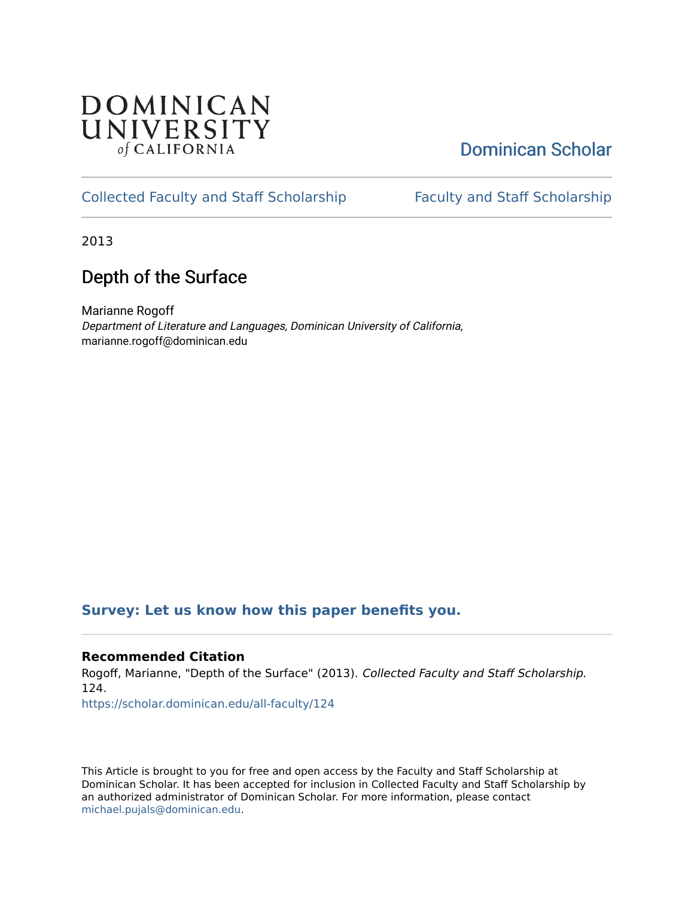## **DOMINICAN** UNIVERSITY of CALIFORNIA

# [Dominican Scholar](https://scholar.dominican.edu/)

## [Collected Faculty and Staff Scholarship](https://scholar.dominican.edu/all-faculty) [Faculty and Staff Scholarship](https://scholar.dominican.edu/faculty-scholarship)

2013

# Depth of the Surface

Marianne Rogoff Department of Literature and Languages, Dominican University of California, marianne.rogoff@dominican.edu

### **[Survey: Let us know how this paper benefits you.](https://dominican.libwizard.com/dominican-scholar-feedback)**

### **Recommended Citation**

Rogoff, Marianne, "Depth of the Surface" (2013). Collected Faculty and Staff Scholarship. 124.

[https://scholar.dominican.edu/all-faculty/124](https://scholar.dominican.edu/all-faculty/124?utm_source=scholar.dominican.edu%2Fall-faculty%2F124&utm_medium=PDF&utm_campaign=PDFCoverPages) 

This Article is brought to you for free and open access by the Faculty and Staff Scholarship at Dominican Scholar. It has been accepted for inclusion in Collected Faculty and Staff Scholarship by an authorized administrator of Dominican Scholar. For more information, please contact [michael.pujals@dominican.edu.](mailto:michael.pujals@dominican.edu)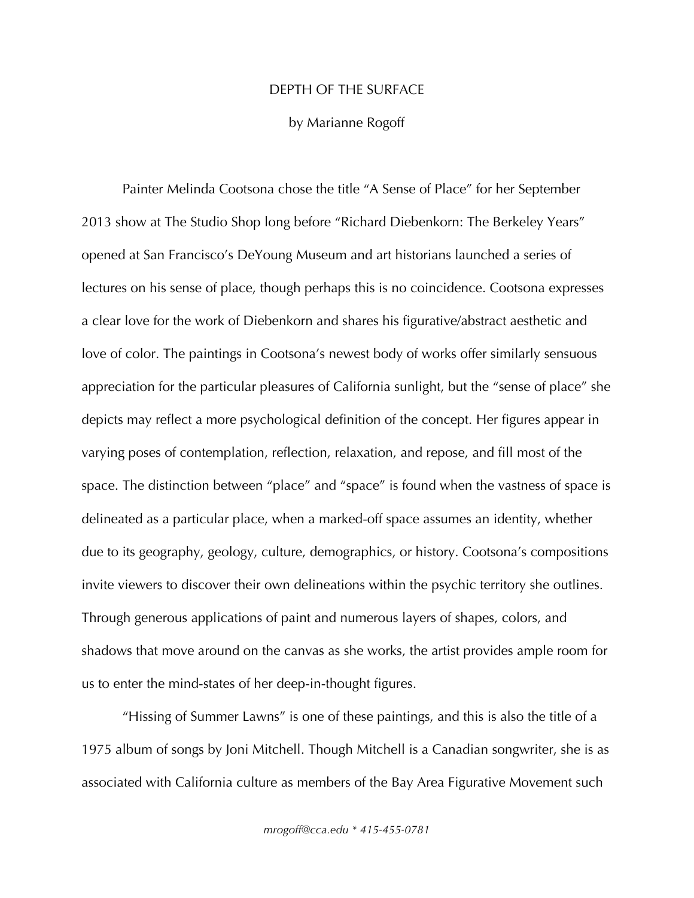### DEPTH OF THE SURFACE

#### by Marianne Rogoff

Painter Melinda Cootsona chose the title "A Sense of Place" for her September 2013 show at The Studio Shop long before "Richard Diebenkorn: The Berkeley Years" opened at San Francisco's DeYoung Museum and art historians launched a series of lectures on his sense of place, though perhaps this is no coincidence. Cootsona expresses a clear love for the work of Diebenkorn and shares his figurative/abstract aesthetic and love of color. The paintings in Cootsona's newest body of works offer similarly sensuous appreciation for the particular pleasures of California sunlight, but the "sense of place" she depicts may reflect a more psychological definition of the concept. Her figures appear in varying poses of contemplation, reflection, relaxation, and repose, and fill most of the space. The distinction between "place" and "space" is found when the vastness of space is delineated as a particular place, when a marked-off space assumes an identity, whether due to its geography, geology, culture, demographics, or history. Cootsona's compositions invite viewers to discover their own delineations within the psychic territory she outlines. Through generous applications of paint and numerous layers of shapes, colors, and shadows that move around on the canvas as she works, the artist provides ample room for us to enter the mind-states of her deep-in-thought figures.

"Hissing of Summer Lawns" is one of these paintings, and this is also the title of a 1975 album of songs by Joni Mitchell. Though Mitchell is a Canadian songwriter, she is as associated with California culture as members of the Bay Area Figurative Movement such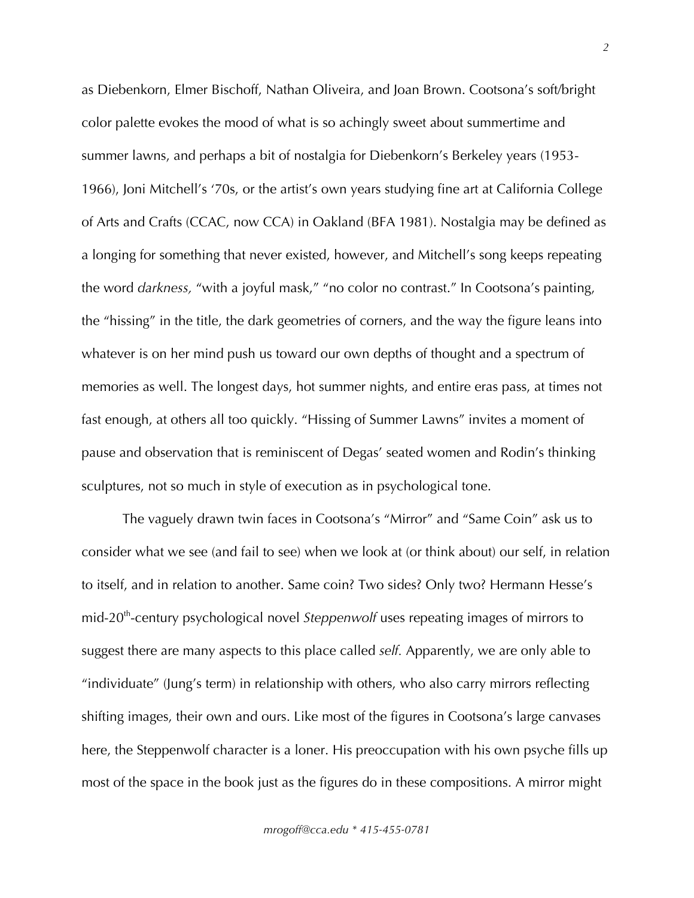as Diebenkorn, Elmer Bischoff, Nathan Oliveira, and Joan Brown. Cootsona's soft/bright color palette evokes the mood of what is so achingly sweet about summertime and summer lawns, and perhaps a bit of nostalgia for Diebenkorn's Berkeley years (1953- 1966), Joni Mitchell's '70s, or the artist's own years studying fine art at California College of Arts and Crafts (CCAC, now CCA) in Oakland (BFA 1981). Nostalgia may be defined as a longing for something that never existed, however, and Mitchell's song keeps repeating the word *darkness,* "with a joyful mask," "no color no contrast." In Cootsona's painting, the "hissing" in the title, the dark geometries of corners, and the way the figure leans into whatever is on her mind push us toward our own depths of thought and a spectrum of memories as well. The longest days, hot summer nights, and entire eras pass, at times not fast enough, at others all too quickly. "Hissing of Summer Lawns" invites a moment of pause and observation that is reminiscent of Degas' seated women and Rodin's thinking sculptures, not so much in style of execution as in psychological tone.

The vaguely drawn twin faces in Cootsona's "Mirror" and "Same Coin" ask us to consider what we see (and fail to see) when we look at (or think about) our self, in relation to itself, and in relation to another. Same coin? Two sides? Only two? Hermann Hesse's mid-20<sup>th</sup>-century psychological novel *Steppenwolf* uses repeating images of mirrors to suggest there are many aspects to this place called *self.* Apparently, we are only able to "individuate" (Jung's term) in relationship with others, who also carry mirrors reflecting shifting images, their own and ours. Like most of the figures in Cootsona's large canvases here, the Steppenwolf character is a loner. His preoccupation with his own psyche fills up most of the space in the book just as the figures do in these compositions. A mirror might